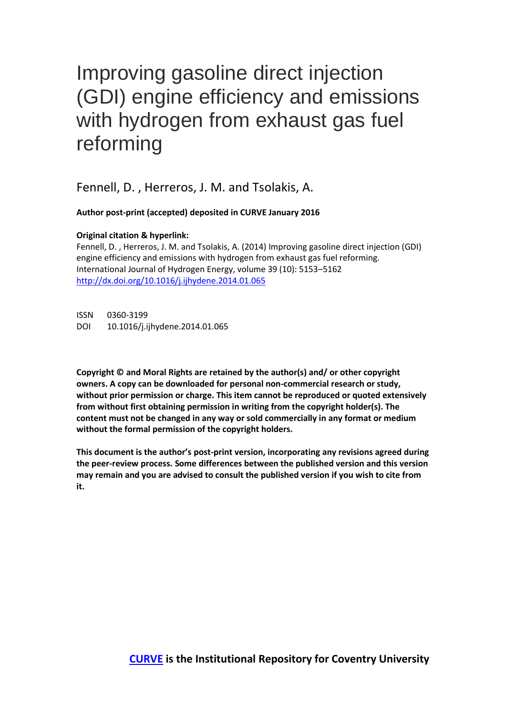# Improving gasoline direct injection (GDI) engine efficiency and emissions with hydrogen from exhaust gas fuel reforming

Fennell, D. , Herreros, J. M. and Tsolakis, A.

**Author post-print (accepted) deposited in CURVE January 2016**

# **Original citation & hyperlink:**

Fennell, D. , Herreros, J. M. and Tsolakis, A. (2014) Improving gasoline direct injection (GDI) engine efficiency and emissions with hydrogen from exhaust gas fuel reforming. International Journal of Hydrogen Energy, volume 39 (10): 5153–5162 <http://dx.doi.org/10.1016/j.ijhydene.2014.01.065>

ISSN 0360-3199 DOI 10.1016/j.ijhydene.2014.01.065

**Copyright © and Moral Rights are retained by the author(s) and/ or other copyright owners. A copy can be downloaded for personal non-commercial research or study, without prior permission or charge. This item cannot be reproduced or quoted extensively from without first obtaining permission in writing from the copyright holder(s). The content must not be changed in any way or sold commercially in any format or medium without the formal permission of the copyright holders.** 

**This document is the author's post-print version, incorporating any revisions agreed during the peer-review process. Some differences between the published version and this version may remain and you are advised to consult the published version if you wish to cite from it.**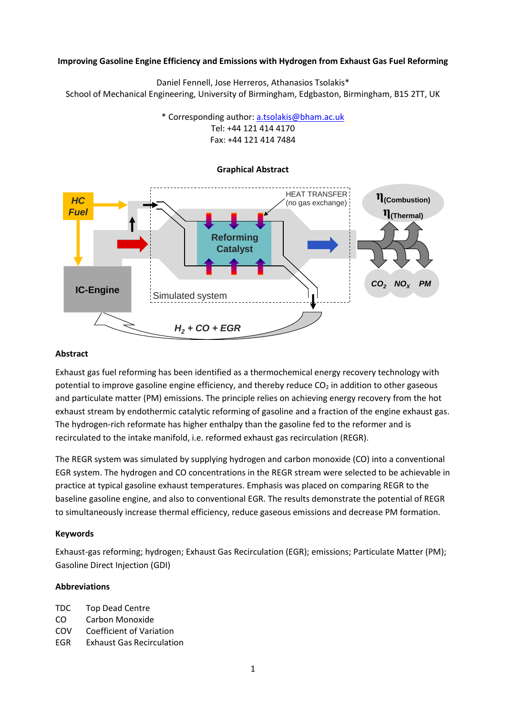## **Improving Gasoline Engine Efficiency and Emissions with Hydrogen from Exhaust Gas Fuel Reforming**

Daniel Fennell, Jose Herreros, Athanasios Tsolakis\* School of Mechanical Engineering, University of Birmingham, Edgbaston, Birmingham, B15 2TT, UK

> \* Corresponding author: [a.tsolakis@bham.ac.uk](mailto:a.tsolakis@bham.ac.uk) Tel: +44 121 414 4170 Fax: +44 121 414 7484



### **Graphical Abstract**

## **Abstract**

Exhaust gas fuel reforming has been identified as a thermochemical energy recovery technology with potential to improve gasoline engine efficiency, and thereby reduce  $CO<sub>2</sub>$  in addition to other gaseous and particulate matter (PM) emissions. The principle relies on achieving energy recovery from the hot exhaust stream by endothermic catalytic reforming of gasoline and a fraction of the engine exhaust gas. The hydrogen-rich reformate has higher enthalpy than the gasoline fed to the reformer and is recirculated to the intake manifold, i.e. reformed exhaust gas recirculation (REGR).

The REGR system was simulated by supplying hydrogen and carbon monoxide (CO) into a conventional EGR system. The hydrogen and CO concentrations in the REGR stream were selected to be achievable in practice at typical gasoline exhaust temperatures. Emphasis was placed on comparing REGR to the baseline gasoline engine, and also to conventional EGR. The results demonstrate the potential of REGR to simultaneously increase thermal efficiency, reduce gaseous emissions and decrease PM formation.

### **Keywords**

Exhaust-gas reforming; hydrogen; Exhaust Gas Recirculation (EGR); emissions; Particulate Matter (PM); Gasoline Direct Injection (GDI)

# **Abbreviations**

TDC Top Dead Centre

- CO Carbon Monoxide
- COV Coefficient of Variation
- EGR Exhaust Gas Recirculation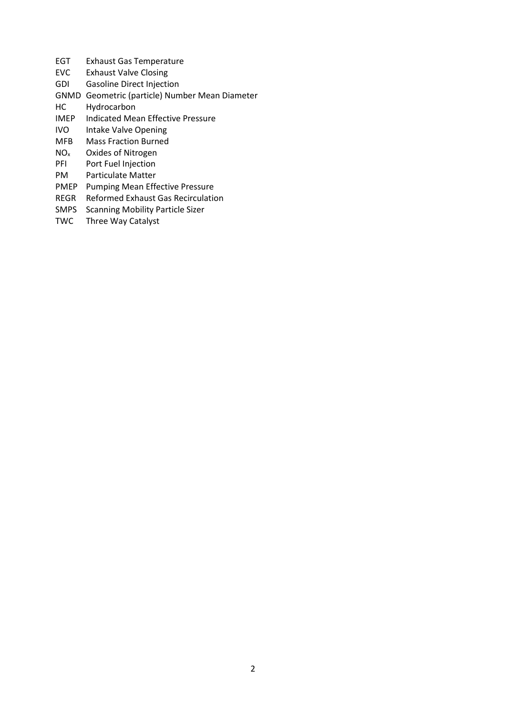- EGT Exhaust Gas Temperature
- EVC Exhaust Valve Closing
- GDI Gasoline Direct Injection
- GNMD Geometric (particle) Number Mean Diameter
- HC Hydrocarbon<br>IMEP Indicated Mea
- Indicated Mean Effective Pressure
- IVO Intake Valve Opening
- MFB Mass Fraction Burned
- NO<sup>x</sup> Oxides of Nitrogen
- PFI Port Fuel Injection
- PM Particulate Matter
- PMEP Pumping Mean Effective Pressure
- REGR Reformed Exhaust Gas Recirculation
- SMPS Scanning Mobility Particle Sizer
- TWC Three Way Catalyst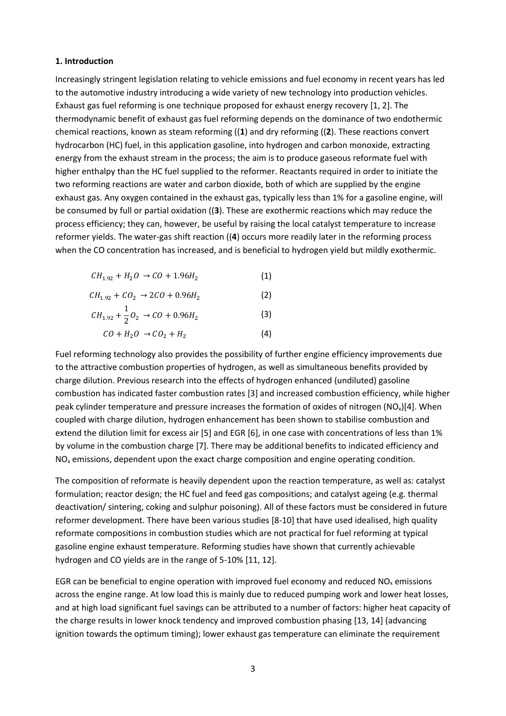#### **1. Introduction**

Increasingly stringent legislation relating to vehicle emissions and fuel economy in recent years has led to the automotive industry introducing a wide variety of new technology into production vehicles. Exhaust gas fuel reforming is one technique proposed for exhaust energy recovery [\[1,](#page-16-0) [2\]](#page-16-1). The thermodynamic benefit of exhaust gas fuel reforming depends on the dominance of two endothermic chemical reactions, known as steam reforming ((**[1](#page-3-0)**) and dry reforming [\(\(](#page-3-1)**2**). These reactions convert hydrocarbon (HC) fuel, in this application gasoline, into hydrogen and carbon monoxide, extracting energy from the exhaust stream in the process; the aim is to produce gaseous reformate fuel with higher enthalpy than the HC fuel supplied to the reformer. Reactants required in order to initiate the two reforming reactions are water and carbon dioxide, both of which are supplied by the engine exhaust gas. Any oxygen contained in the exhaust gas, typically less than 1% for a gasoline engine, will be consumed by full or partial oxidation ((**[3](#page-3-2)**). These are exothermic reactions which may reduce the process efficiency; they can, however, be useful by raising the local catalyst temperature to increase reformer yields. The water-gas shift reaction [\(\(](#page-3-3)**4**) occurs more readily later in the reforming process when the CO concentration has increased, and is beneficial to hydrogen yield but mildly exothermic.

<span id="page-3-0"></span>
$$
CH_{1.92} + H_2O \rightarrow CO + 1.96H_2 \tag{1}
$$

$$
CH_{1.92} + CO_2 \rightarrow 2CO + 0.96H_2 \tag{2}
$$

$$
CH_{1.92} + \frac{1}{2}O_2 \rightarrow CO + 0.96H_2 \tag{3}
$$

<span id="page-3-3"></span><span id="page-3-2"></span><span id="page-3-1"></span>
$$
CO + H_2O \rightarrow CO_2 + H_2 \tag{4}
$$

Fuel reforming technology also provides the possibility of further engine efficiency improvements due to the attractive combustion properties of hydrogen, as well as simultaneous benefits provided by charge dilution. Previous research into the effects of hydrogen enhanced (undiluted) gasoline combustion has indicated faster combustion rates [\[3\]](#page-16-2) and increased combustion efficiency, while higher peak cylinder temperature and pressure increases the formation of oxides of nitrogen (NO<sub>x</sub>)[\[4\]](#page-16-3). When coupled with charge dilution, hydrogen enhancement has been shown to stabilise combustion and extend the dilution limit for excess air [\[5\]](#page-16-4) and EGR [\[6\]](#page-16-5), in one case with concentrations of less than 1% by volume in the combustion charge [\[7\]](#page-16-6). There may be additional benefits to indicated efficiency and  $NO<sub>x</sub>$  emissions, dependent upon the exact charge composition and engine operating condition.

The composition of reformate is heavily dependent upon the reaction temperature, as well as: catalyst formulation; reactor design; the HC fuel and feed gas compositions; and catalyst ageing (e.g. thermal deactivation/ sintering, coking and sulphur poisoning). All of these factors must be considered in future reformer development. There have been various studies [\[8-10\]](#page-16-7) that have used idealised, high quality reformate compositions in combustion studies which are not practical for fuel reforming at typical gasoline engine exhaust temperature. Reforming studies have shown that currently achievable hydrogen and CO yields are in the range of 5-10% [\[11,](#page-16-8) [12\]](#page-16-9).

EGR can be beneficial to engine operation with improved fuel economy and reduced  $NO<sub>x</sub>$  emissions across the engine range. At low load this is mainly due to reduced pumping work and lower heat losses, and at high load significant fuel savings can be attributed to a number of factors: higher heat capacity of the charge results in lower knock tendency and improved combustion phasing [\[13,](#page-16-10) [14\]](#page-16-11) (advancing ignition towards the optimum timing); lower exhaust gas temperature can eliminate the requirement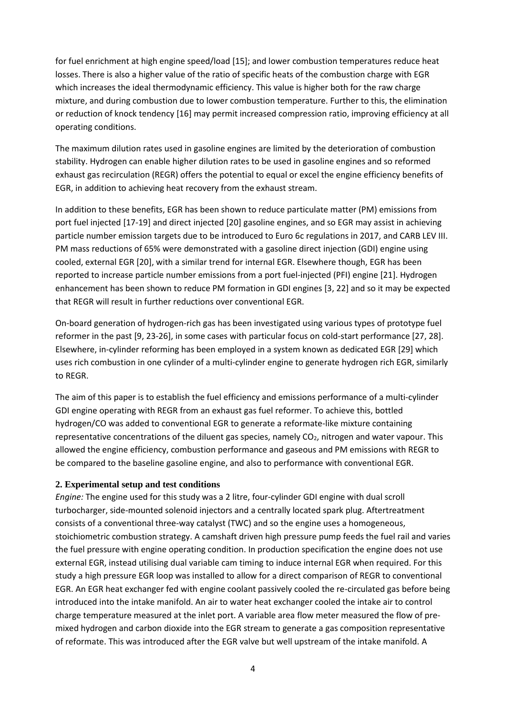for fuel enrichment at high engine speed/load [\[15\]](#page-16-12); and lower combustion temperatures reduce heat losses. There is also a higher value of the ratio of specific heats of the combustion charge with EGR which increases the ideal thermodynamic efficiency. This value is higher both for the raw charge mixture, and during combustion due to lower combustion temperature. Further to this, the elimination or reduction of knock tendency [\[16\]](#page-17-0) may permit increased compression ratio, improving efficiency at all operating conditions.

The maximum dilution rates used in gasoline engines are limited by the deterioration of combustion stability. Hydrogen can enable higher dilution rates to be used in gasoline engines and so reformed exhaust gas recirculation (REGR) offers the potential to equal or excel the engine efficiency benefits of EGR, in addition to achieving heat recovery from the exhaust stream.

In addition to these benefits, EGR has been shown to reduce particulate matter (PM) emissions from port fuel injected [\[17-19\]](#page-17-1) and direct injected [\[20\]](#page-17-2) gasoline engines, and so EGR may assist in achieving particle number emission targets due to be introduced to Euro 6c regulations in 2017, and CARB LEV III. PM mass reductions of 65% were demonstrated with a gasoline direct injection (GDI) engine using cooled, external EGR [\[20\]](#page-17-2), with a similar trend for internal EGR. Elsewhere though, EGR has been reported to increase particle number emissions from a port fuel-injected (PFI) engine [\[21\]](#page-17-3). Hydrogen enhancement has been shown to reduce PM formation in GDI engines [\[3,](#page-16-2) [22\]](#page-17-4) and so it may be expected that REGR will result in further reductions over conventional EGR.

On-board generation of hydrogen-rich gas has been investigated using various types of prototype fuel reformer in the past [\[9,](#page-16-13) [23-26\]](#page-17-5), in some cases with particular focus on cold-start performance [\[27,](#page-17-6) [28\]](#page-17-7). Elsewhere, in-cylinder reforming has been employed in a system known as dedicated EGR [\[29\]](#page-17-8) which uses rich combustion in one cylinder of a multi-cylinder engine to generate hydrogen rich EGR, similarly to REGR.

The aim of this paper is to establish the fuel efficiency and emissions performance of a multi-cylinder GDI engine operating with REGR from an exhaust gas fuel reformer. To achieve this, bottled hydrogen/CO was added to conventional EGR to generate a reformate-like mixture containing representative concentrations of the diluent gas species, namely  $CO<sub>2</sub>$ , nitrogen and water vapour. This allowed the engine efficiency, combustion performance and gaseous and PM emissions with REGR to be compared to the baseline gasoline engine, and also to performance with conventional EGR.

### **2. Experimental setup and test conditions**

*Engine:* The engine used for this study was a 2 litre, four-cylinder GDI engine with dual scroll turbocharger, side-mounted solenoid injectors and a centrally located spark plug. Aftertreatment consists of a conventional three-way catalyst (TWC) and so the engine uses a homogeneous, stoichiometric combustion strategy. A camshaft driven high pressure pump feeds the fuel rail and varies the fuel pressure with engine operating condition. In production specification the engine does not use external EGR, instead utilising dual variable cam timing to induce internal EGR when required. For this study a high pressure EGR loop was installed to allow for a direct comparison of REGR to conventional EGR. An EGR heat exchanger fed with engine coolant passively cooled the re-circulated gas before being introduced into the intake manifold. An air to water heat exchanger cooled the intake air to control charge temperature measured at the inlet port. A variable area flow meter measured the flow of premixed hydrogen and carbon dioxide into the EGR stream to generate a gas composition representative of reformate. This was introduced after the EGR valve but well upstream of the intake manifold. A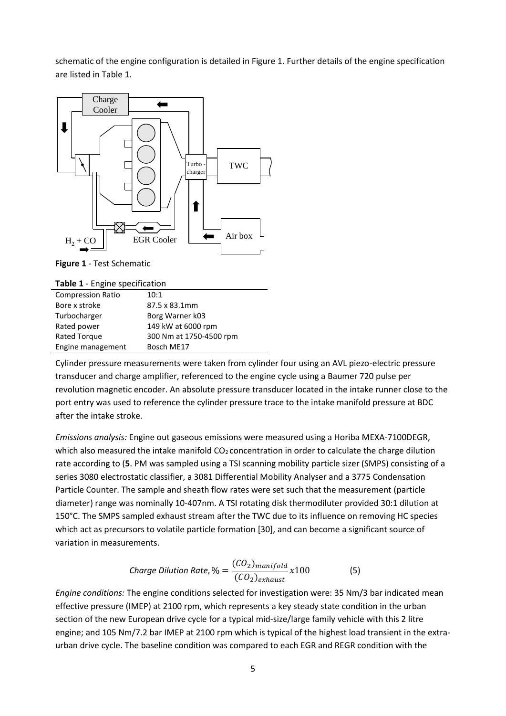schematic of the engine configuration is detailed in [Figure 1.](#page-5-0) Further details of the engine specification are listed in [Table 1.](#page-5-1)



<span id="page-5-0"></span>**Figure 1** - Test Schematic

<span id="page-5-1"></span>

|  |  |  | Table 1 - Engine specification |
|--|--|--|--------------------------------|
|--|--|--|--------------------------------|

| <b>Compression Ratio</b> | 10:1                    |
|--------------------------|-------------------------|
| Bore x stroke            | 87.5 x 83.1mm           |
| Turbocharger             | Borg Warner k03         |
| Rated power              | 149 kW at 6000 rpm      |
| <b>Rated Torque</b>      | 300 Nm at 1750-4500 rpm |
| Engine management        | Bosch ME17              |

Cylinder pressure measurements were taken from cylinder four using an AVL piezo-electric pressure transducer and charge amplifier, referenced to the engine cycle using a Baumer 720 pulse per revolution magnetic encoder. An absolute pressure transducer located in the intake runner close to the port entry was used to reference the cylinder pressure trace to the intake manifold pressure at BDC after the intake stroke.

*Emissions analysis:* Engine out gaseous emissions were measured using a Horiba MEXA-7100DEGR, which also measured the intake manifold  $CO<sub>2</sub>$  concentration in order to calculate the charge dilution rate according to (**[5](#page-5-2)**. PM was sampled using a TSI scanning mobility particle sizer (SMPS) consisting of a series 3080 electrostatic classifier, a 3081 Differential Mobility Analyser and a 3775 Condensation Particle Counter. The sample and sheath flow rates were set such that the measurement (particle diameter) range was nominally 10-407nm. A TSI rotating disk thermodiluter provided 30:1 dilution at 150°C. The SMPS sampled exhaust stream after the TWC due to its influence on removing HC species which act as precursors to volatile particle formation [\[30\]](#page-17-9), and can become a significant source of variation in measurements.

<span id="page-5-2"></span>
$$
Change Dilution Rate, \% = \frac{(CO_2)_{manifold}}{(CO_2)_{exhaust}} \times 100
$$
 (5)

*Engine conditions:* The engine conditions selected for investigation were: 35 Nm/3 bar indicated mean effective pressure (IMEP) at 2100 rpm, which represents a key steady state condition in the urban section of the new European drive cycle for a typical mid-size/large family vehicle with this 2 litre engine; and 105 Nm/7.2 bar IMEP at 2100 rpm which is typical of the highest load transient in the extraurban drive cycle. The baseline condition was compared to each EGR and REGR condition with the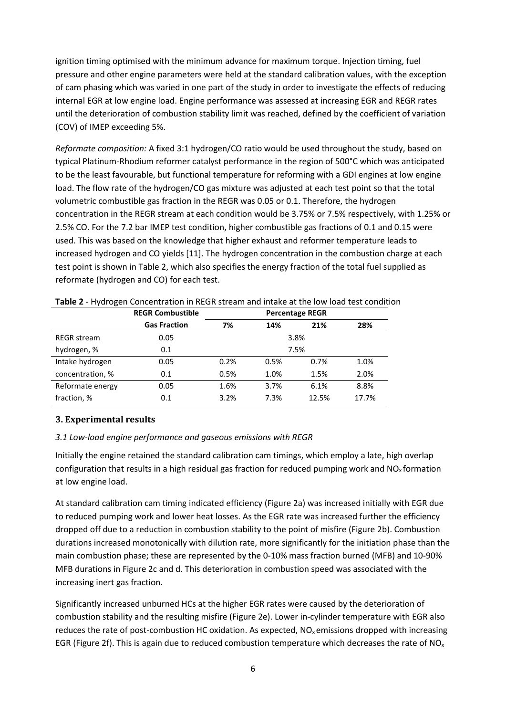ignition timing optimised with the minimum advance for maximum torque. Injection timing, fuel pressure and other engine parameters were held at the standard calibration values, with the exception of cam phasing which was varied in one part of the study in order to investigate the effects of reducing internal EGR at low engine load. Engine performance was assessed at increasing EGR and REGR rates until the deterioration of combustion stability limit was reached, defined by the coefficient of variation (COV) of IMEP exceeding 5%.

*Reformate composition:* A fixed 3:1 hydrogen/CO ratio would be used throughout the study, based on typical Platinum-Rhodium reformer catalyst performance in the region of 500°C which was anticipated to be the least favourable, but functional temperature for reforming with a GDI engines at low engine load. The flow rate of the hydrogen/CO gas mixture was adjusted at each test point so that the total volumetric combustible gas fraction in the REGR was 0.05 or 0.1. Therefore, the hydrogen concentration in the REGR stream at each condition would be 3.75% or 7.5% respectively, with 1.25% or 2.5% CO. For the 7.2 bar IMEP test condition, higher combustible gas fractions of 0.1 and 0.15 were used. This was based on the knowledge that higher exhaust and reformer temperature leads to increased hydrogen and CO yields [\[11\]](#page-16-8). The hydrogen concentration in the combustion charge at each test point is shown in [Table 2,](#page-6-0) which also specifies the energy fraction of the total fuel supplied as reformate (hydrogen and CO) for each test.

|                    | <b>REGR Combustible</b> | <b>Percentage REGR</b> |      |       |       |
|--------------------|-------------------------|------------------------|------|-------|-------|
|                    | <b>Gas Fraction</b>     | 7%                     | 14%  | 21%   | 28%   |
| <b>REGR stream</b> | 0.05                    |                        |      | 3.8%  |       |
| hydrogen, %        | 0.1                     |                        |      | 7.5%  |       |
| Intake hydrogen    | 0.05                    | 0.2%                   | 0.5% | 0.7%  | 1.0%  |
| concentration, %   | 0.1                     | 0.5%                   | 1.0% | 1.5%  | 2.0%  |
| Reformate energy   | 0.05                    | 1.6%                   | 3.7% | 6.1%  | 8.8%  |
| fraction, %        | 0.1                     | 3.2%                   | 7.3% | 12.5% | 17.7% |

<span id="page-6-0"></span>**Table 2** - Hydrogen Concentration in REGR stream and intake at the low load test condition

# **3. Experimental results**

### *3.1 Low-load engine performance and gaseous emissions with REGR*

Initially the engine retained the standard calibration cam timings, which employ a late, high overlap configuration that results in a high residual gas fraction for reduced pumping work and  $NO<sub>x</sub>$  formation at low engine load.

At standard calibration cam timing indicated efficiency [\(Figure 2a](#page-7-0)) was increased initially with EGR due to reduced pumping work and lower heat losses. As the EGR rate was increased further the efficiency dropped off due to a reduction in combustion stability to the point of misfire [\(Figure 2b](#page-7-0)). Combustion durations increased monotonically with dilution rate, more significantly for the initiation phase than the main combustion phase; these are represented by the 0-10% mass fraction burned (MFB) and 10-90% MFB durations in [Figure 2c](#page-7-0) and d. This deterioration in combustion speed was associated with the increasing inert gas fraction.

Significantly increased unburned HCs at the higher EGR rates were caused by the deterioration of combustion stability and the resulting misfire [\(Figure 2e](#page-7-0)). Lower in-cylinder temperature with EGR also reduces the rate of post-combustion HC oxidation. As expected,  $NO<sub>x</sub>$  emissions dropped with increasing EGR [\(Figure 2f](#page-7-0)). This is again due to reduced combustion temperature which decreases the rate of NO<sub>x</sub>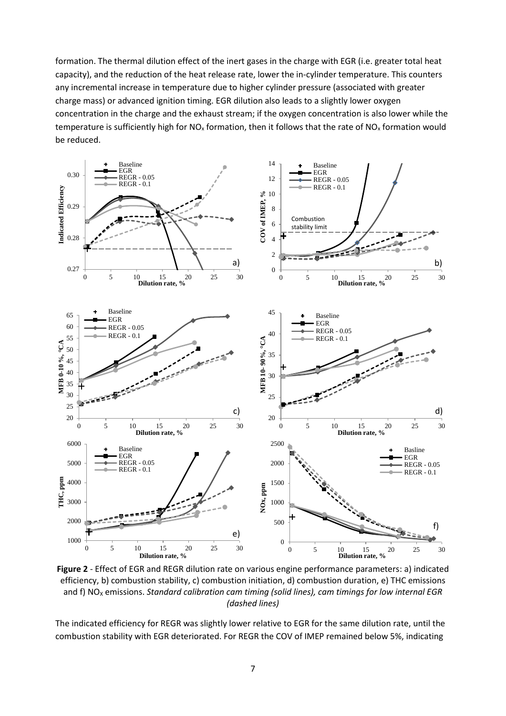formation. The thermal dilution effect of the inert gases in the charge with EGR (i.e. greater total heat capacity), and the reduction of the heat release rate, lower the in-cylinder temperature. This counters any incremental increase in temperature due to higher cylinder pressure (associated with greater charge mass) or advanced ignition timing. EGR dilution also leads to a slightly lower oxygen concentration in the charge and the exhaust stream; if the oxygen concentration is also lower while the temperature is sufficiently high for NO<sub>x</sub> formation, then it follows that the rate of NO<sub>x</sub> formation would be reduced.



<span id="page-7-0"></span>**Figure 2** - Effect of EGR and REGR dilution rate on various engine performance parameters: a) indicated efficiency, b) combustion stability, c) combustion initiation, d) combustion duration, e) THC emissions and f) NO<sub>x</sub> emissions. *Standard calibration cam timing (solid lines), cam timings for low internal EGR (dashed lines)*

The indicated efficiency for REGR was slightly lower relative to EGR for the same dilution rate, until the combustion stability with EGR deteriorated. For REGR the COV of IMEP remained below 5%, indicating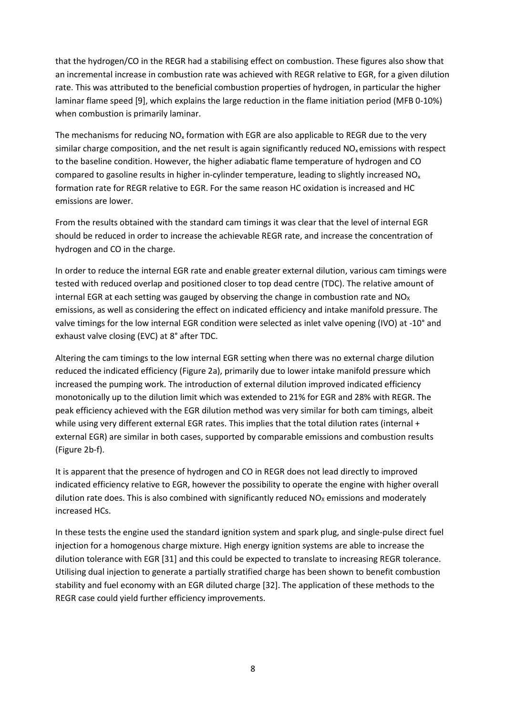that the hydrogen/CO in the REGR had a stabilising effect on combustion. These figures also show that an incremental increase in combustion rate was achieved with REGR relative to EGR, for a given dilution rate. This was attributed to the beneficial combustion properties of hydrogen, in particular the higher laminar flame speed [\[9\]](#page-16-13), which explains the large reduction in the flame initiation period (MFB 0-10%) when combustion is primarily laminar.

The mechanisms for reducing  $NO<sub>x</sub>$  formation with EGR are also applicable to REGR due to the very similar charge composition, and the net result is again significantly reduced  $NO<sub>x</sub>$  emissions with respect to the baseline condition. However, the higher adiabatic flame temperature of hydrogen and CO compared to gasoline results in higher in-cylinder temperature, leading to slightly increased  $NO<sub>x</sub>$ formation rate for REGR relative to EGR. For the same reason HC oxidation is increased and HC emissions are lower.

From the results obtained with the standard cam timings it was clear that the level of internal EGR should be reduced in order to increase the achievable REGR rate, and increase the concentration of hydrogen and CO in the charge.

In order to reduce the internal EGR rate and enable greater external dilution, various cam timings were tested with reduced overlap and positioned closer to top dead centre (TDC). The relative amount of internal EGR at each setting was gauged by observing the change in combustion rate and  $NO<sub>X</sub>$ emissions, as well as considering the effect on indicated efficiency and intake manifold pressure. The valve timings for the low internal EGR condition were selected as inlet valve opening (IVO) at -10° and exhaust valve closing (EVC) at 8° after TDC.

Altering the cam timings to the low internal EGR setting when there was no external charge dilution reduced the indicated efficiency [\(Figure 2a](#page-7-0)), primarily due to lower intake manifold pressure which increased the pumping work. The introduction of external dilution improved indicated efficiency monotonically up to the dilution limit which was extended to 21% for EGR and 28% with REGR. The peak efficiency achieved with the EGR dilution method was very similar for both cam timings, albeit while using very different external EGR rates. This implies that the total dilution rates (internal + external EGR) are similar in both cases, supported by comparable emissions and combustion results [\(Figure 2b](#page-7-0)-f).

It is apparent that the presence of hydrogen and CO in REGR does not lead directly to improved indicated efficiency relative to EGR, however the possibility to operate the engine with higher overall dilution rate does. This is also combined with significantly reduced  $NO<sub>X</sub>$  emissions and moderately increased HCs.

In these tests the engine used the standard ignition system and spark plug, and single-pulse direct fuel injection for a homogenous charge mixture. High energy ignition systems are able to increase the dilution tolerance with EGR [\[31\]](#page-17-10) and this could be expected to translate to increasing REGR tolerance. Utilising dual injection to generate a partially stratified charge has been shown to benefit combustion stability and fuel economy with an EGR diluted charge [\[32\]](#page-17-11). The application of these methods to the REGR case could yield further efficiency improvements.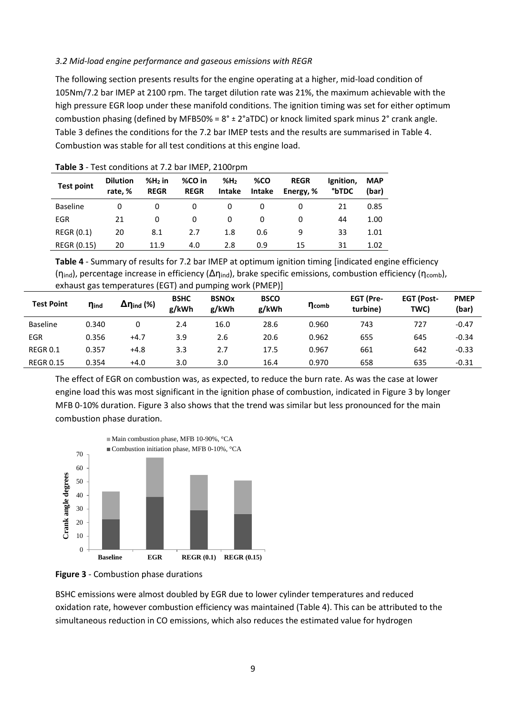## *3.2 Mid-load engine performance and gaseous emissions with REGR*

The following section presents results for the engine operating at a higher, mid-load condition of 105Nm/7.2 bar IMEP at 2100 rpm. The target dilution rate was 21%, the maximum achievable with the high pressure EGR loop under these manifold conditions. The ignition timing was set for either optimum combustion phasing (defined by MFB50% = 8° **±** 2°aTDC) or knock limited spark minus 2° crank angle. [Table 3](#page-9-0) defines the conditions for the 7.2 bar IMEP tests and the results are summarised i[n Table 4.](#page-9-1) Combustion was stable for all test conditions at this engine load.

| <b>Test point</b> | <b>Dilution</b><br>rate, % | $%H2$ in<br><b>REGR</b> | %CO in<br><b>REGR</b> | %H <sub>2</sub><br><b>Intake</b> | %CO<br><b>Intake</b> | <b>REGR</b><br>Energy, % | Ignition,<br><b>°bTDC</b> | <b>MAP</b><br>(bar) |
|-------------------|----------------------------|-------------------------|-----------------------|----------------------------------|----------------------|--------------------------|---------------------------|---------------------|
| <b>Baseline</b>   | 0                          | 0                       | 0                     | 0                                | 0                    | 0                        | 21                        | 0.85                |
| EGR               | 21                         | 0                       | 0                     | 0                                | 0                    | 0                        | 44                        | 1.00                |
| <b>REGR (0.1)</b> | 20                         | 8.1                     | 2.7                   | 1.8                              | 0.6                  | 9                        | 33                        | 1.01                |
| REGR (0.15)       | 20                         | 11.9                    | 4.0                   | 2.8                              | 0.9                  | 15                       | 31                        | 1.02                |

#### <span id="page-9-0"></span>**Table 3** - Test conditions at 7.2 bar IMEP, 2100rpm

<span id="page-9-1"></span>**Table 4** - Summary of results for 7.2 bar IMEP at optimum ignition timing [indicated engine efficiency ( $η<sub>ind</sub>$ ), percentage increase in efficiency ( $Δη<sub>ind</sub>$ ), brake specific emissions, combustion efficiency ( $η<sub>comb</sub>$ ), exhaust gas temperatures (EGT) and pumping work (PMEP)]

| <b>Test Point</b> | <b>n</b> ind | $Δηind$ (%) | <b>BSHC</b><br>g/kWh | <b>BSNO<sub>x</sub></b><br>g/kWh | <b>BSCO</b><br>g/kWh | $\eta_{\rm comb}$ | EGT (Pre-<br>turbine) | <b>EGT (Post-</b><br>TWC) | <b>PMEP</b><br>(bar) |
|-------------------|--------------|-------------|----------------------|----------------------------------|----------------------|-------------------|-----------------------|---------------------------|----------------------|
| <b>Baseline</b>   | 0.340        |             | 2.4                  | 16.0                             | 28.6                 | 0.960             | 743                   | 727                       | $-0.47$              |
| <b>EGR</b>        | 0.356        | $+4.7$      | 3.9                  | 2.6                              | 20.6                 | 0.962             | 655                   | 645                       | $-0.34$              |
| <b>REGR 0.1</b>   | 0.357        | $+4.8$      | 3.3                  | 2.7                              | 17.5                 | 0.967             | 661                   | 642                       | $-0.33$              |
| <b>REGR 0.15</b>  | 0.354        | $+4.0$      | 3.0                  | 3.0                              | 16.4                 | 0.970             | 658                   | 635                       | $-0.31$              |

The effect of EGR on combustion was, as expected, to reduce the burn rate. As was the case at lower engine load this was most significant in the ignition phase of combustion, indicated in [Figure 3](#page-9-2) by longer MFB 0-10% duration. [Figure 3](#page-9-2) also shows that the trend was similar but less pronounced for the main combustion phase duration.



<span id="page-9-2"></span>**Figure 3** - Combustion phase durations

BSHC emissions were almost doubled by EGR due to lower cylinder temperatures and reduced oxidation rate, however combustion efficiency was maintained [\(Table 4\)](#page-9-1). This can be attributed to the simultaneous reduction in CO emissions, which also reduces the estimated value for hydrogen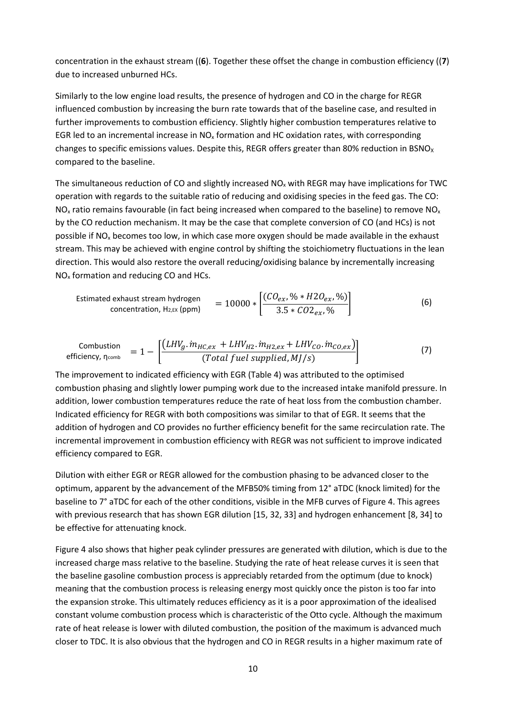concentration in the exhaust stream [\(\(](#page-10-0)**6**). Together these offset the change in combustion efficiency [\(\(](#page-10-1)**7**) due to increased unburned HCs.

Similarly to the low engine load results, the presence of hydrogen and CO in the charge for REGR influenced combustion by increasing the burn rate towards that of the baseline case, and resulted in further improvements to combustion efficiency. Slightly higher combustion temperatures relative to EGR led to an incremental increase in  $NO<sub>x</sub>$  formation and HC oxidation rates, with corresponding changes to specific emissions values. Despite this, REGR offers greater than 80% reduction in BSNO<sub>x</sub> compared to the baseline.

The simultaneous reduction of CO and slightly increased  $NO<sub>x</sub>$  with REGR may have implications for TWC operation with regards to the suitable ratio of reducing and oxidising species in the feed gas. The CO:  $NO<sub>x</sub>$  ratio remains favourable (in fact being increased when compared to the baseline) to remove  $NO<sub>x</sub>$ by the CO reduction mechanism. It may be the case that complete conversion of CO (and HCs) is not possible if NO<sub>x</sub> becomes too low, in which case more oxygen should be made available in the exhaust stream. This may be achieved with engine control by shifting the stoichiometry fluctuations in the lean direction. This would also restore the overall reducing/oxidising balance by incrementally increasing  $NO<sub>x</sub>$  formation and reducing CO and HCs.

<span id="page-10-1"></span><span id="page-10-0"></span>
$$
\text{Estimated exhaust stream hydrogen} \quad = 10000 * \left[ \frac{(CO_{ex}, \% * H2O_{ex}, %)}{3.5 * CO2_{ex}, %} \right] \tag{6}
$$

Combustion  
efficiency, 
$$
\eta_{comb}
$$
 = 1 -  $\left[ \frac{(LHV_g \cdot \dot{m}_{HC,ex} + LHV_{H2} \cdot \dot{m}_{H2,ex} + LHV_{CO} \cdot \dot{m}_{CO,ex})}{(Total fuel supplied, MJ/s)} \right]$  (7)

The improvement to indicated efficiency with EGR [\(Table 4\)](#page-9-1) was attributed to the optimised combustion phasing and slightly lower pumping work due to the increased intake manifold pressure. In addition, lower combustion temperatures reduce the rate of heat loss from the combustion chamber. Indicated efficiency for REGR with both compositions was similar to that of EGR. It seems that the addition of hydrogen and CO provides no further efficiency benefit for the same recirculation rate. The incremental improvement in combustion efficiency with REGR was not sufficient to improve indicated efficiency compared to EGR.

Dilution with either EGR or REGR allowed for the combustion phasing to be advanced closer to the optimum, apparent by the advancement of the MFB50% timing from 12° aTDC (knock limited) for the baseline to 7° aTDC for each of the other conditions, visible in the MFB curves o[f Figure 4.](#page-11-0) This agrees with previous research that has shown EGR dilution [\[15,](#page-16-12) [32,](#page-17-11) [33\]](#page-17-12) and hydrogen enhancement [\[8,](#page-16-7) [34\]](#page-17-13) to be effective for attenuating knock.

[Figure 4](#page-11-0) also shows that higher peak cylinder pressures are generated with dilution, which is due to the increased charge mass relative to the baseline. Studying the rate of heat release curves it is seen that the baseline gasoline combustion process is appreciably retarded from the optimum (due to knock) meaning that the combustion process is releasing energy most quickly once the piston is too far into the expansion stroke. This ultimately reduces efficiency as it is a poor approximation of the idealised constant volume combustion process which is characteristic of the Otto cycle. Although the maximum rate of heat release is lower with diluted combustion, the position of the maximum is advanced much closer to TDC. It is also obvious that the hydrogen and CO in REGR results in a higher maximum rate of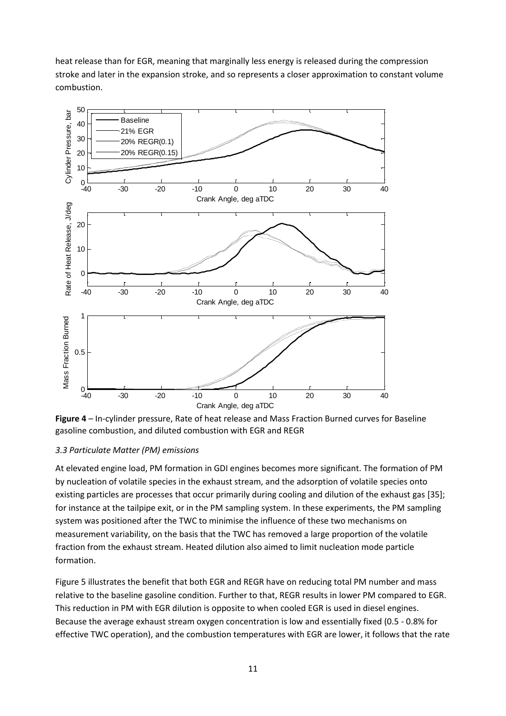heat release than for EGR, meaning that marginally less energy is released during the compression stroke and later in the expansion stroke, and so represents a closer approximation to constant volume combustion.



<span id="page-11-0"></span>**Figure 4** – In-cylinder pressure, Rate of heat release and Mass Fraction Burned curves for Baseline gasoline combustion, and diluted combustion with EGR and REGR

### *3.3 Particulate Matter (PM) emissions*

At elevated engine load, PM formation in GDI engines becomes more significant. The formation of PM by nucleation of volatile species in the exhaust stream, and the adsorption of volatile species onto existing particles are processes that occur primarily during cooling and dilution of the exhaust gas [\[35\]](#page-17-14); for instance at the tailpipe exit, or in the PM sampling system. In these experiments, the PM sampling system was positioned after the TWC to minimise the influence of these two mechanisms on measurement variability, on the basis that the TWC has removed a large proportion of the volatile fraction from the exhaust stream. Heated dilution also aimed to limit nucleation mode particle formation.

[Figure 5](#page-12-0) illustrates the benefit that both EGR and REGR have on reducing total PM number and mass relative to the baseline gasoline condition. Further to that, REGR results in lower PM compared to EGR. This reduction in PM with EGR dilution is opposite to when cooled EGR is used in diesel engines. Because the average exhaust stream oxygen concentration is low and essentially fixed (0.5 - 0.8% for effective TWC operation), and the combustion temperatures with EGR are lower, it follows that the rate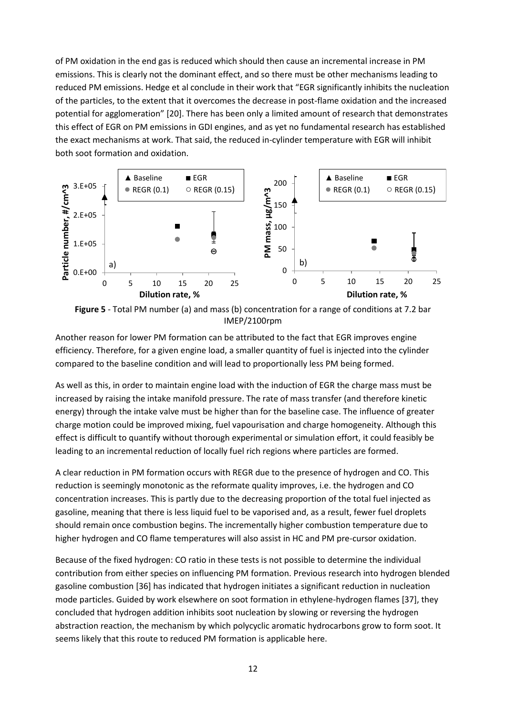of PM oxidation in the end gas is reduced which should then cause an incremental increase in PM emissions. This is clearly not the dominant effect, and so there must be other mechanisms leading to reduced PM emissions. Hedge et al conclude in their work that "EGR significantly inhibits the nucleation of the particles, to the extent that it overcomes the decrease in post-flame oxidation and the increased potential for agglomeration" [\[20\]](#page-17-2). There has been only a limited amount of research that demonstrates this effect of EGR on PM emissions in GDI engines, and as yet no fundamental research has established the exact mechanisms at work. That said, the reduced in-cylinder temperature with EGR will inhibit both soot formation and oxidation.



<span id="page-12-0"></span>**Figure 5** - Total PM number (a) and mass (b) concentration for a range of conditions at 7.2 bar IMEP/2100rpm

Another reason for lower PM formation can be attributed to the fact that EGR improves engine efficiency. Therefore, for a given engine load, a smaller quantity of fuel is injected into the cylinder compared to the baseline condition and will lead to proportionally less PM being formed.

As well as this, in order to maintain engine load with the induction of EGR the charge mass must be increased by raising the intake manifold pressure. The rate of mass transfer (and therefore kinetic energy) through the intake valve must be higher than for the baseline case. The influence of greater charge motion could be improved mixing, fuel vapourisation and charge homogeneity. Although this effect is difficult to quantify without thorough experimental or simulation effort, it could feasibly be leading to an incremental reduction of locally fuel rich regions where particles are formed.

A clear reduction in PM formation occurs with REGR due to the presence of hydrogen and CO. This reduction is seemingly monotonic as the reformate quality improves, i.e. the hydrogen and CO concentration increases. This is partly due to the decreasing proportion of the total fuel injected as gasoline, meaning that there is less liquid fuel to be vaporised and, as a result, fewer fuel droplets should remain once combustion begins. The incrementally higher combustion temperature due to higher hydrogen and CO flame temperatures will also assist in HC and PM pre-cursor oxidation.

Because of the fixed hydrogen: CO ratio in these tests is not possible to determine the individual contribution from either species on influencing PM formation. Previous research into hydrogen blended gasoline combustion [\[36\]](#page-17-15) has indicated that hydrogen initiates a significant reduction in nucleation mode particles. Guided by work elsewhere on soot formation in ethylene-hydrogen flames [\[37\]](#page-18-0), they concluded that hydrogen addition inhibits soot nucleation by slowing or reversing the hydrogen abstraction reaction, the mechanism by which polycyclic aromatic hydrocarbons grow to form soot. It seems likely that this route to reduced PM formation is applicable here.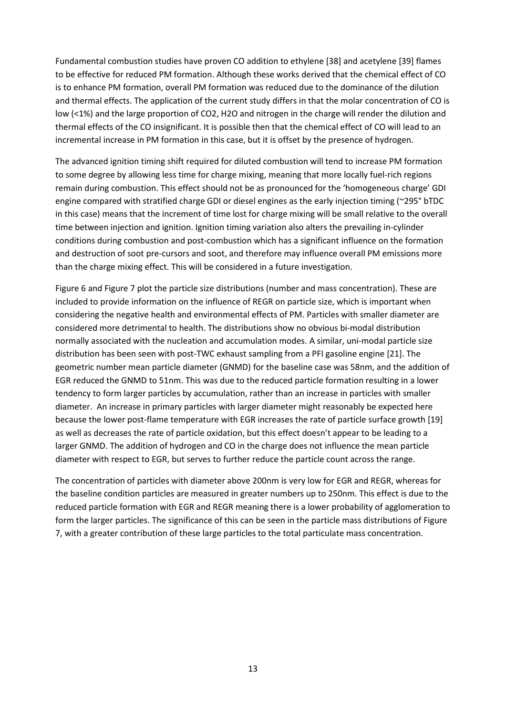Fundamental combustion studies have proven CO addition to ethylene [\[38\]](#page-18-1) and acetylene [\[39\]](#page-18-2) flames to be effective for reduced PM formation. Although these works derived that the chemical effect of CO is to enhance PM formation, overall PM formation was reduced due to the dominance of the dilution and thermal effects. The application of the current study differs in that the molar concentration of CO is low (<1%) and the large proportion of CO2, H2O and nitrogen in the charge will render the dilution and thermal effects of the CO insignificant. It is possible then that the chemical effect of CO will lead to an incremental increase in PM formation in this case, but it is offset by the presence of hydrogen.

The advanced ignition timing shift required for diluted combustion will tend to increase PM formation to some degree by allowing less time for charge mixing, meaning that more locally fuel-rich regions remain during combustion. This effect should not be as pronounced for the 'homogeneous charge' GDI engine compared with stratified charge GDI or diesel engines as the early injection timing (~295° bTDC in this case) means that the increment of time lost for charge mixing will be small relative to the overall time between injection and ignition. Ignition timing variation also alters the prevailing in-cylinder conditions during combustion and post-combustion which has a significant influence on the formation and destruction of soot pre-cursors and soot, and therefore may influence overall PM emissions more than the charge mixing effect. This will be considered in a future investigation.

[Figure 6](#page-14-0) and [Figure 7](#page-14-1) plot the particle size distributions (number and mass concentration). These are included to provide information on the influence of REGR on particle size, which is important when considering the negative health and environmental effects of PM. Particles with smaller diameter are considered more detrimental to health. The distributions show no obvious bi-modal distribution normally associated with the nucleation and accumulation modes. A similar, uni-modal particle size distribution has been seen with post-TWC exhaust sampling from a PFI gasoline engine [\[21\]](#page-17-3). The geometric number mean particle diameter (GNMD) for the baseline case was 58nm, and the addition of EGR reduced the GNMD to 51nm. This was due to the reduced particle formation resulting in a lower tendency to form larger particles by accumulation, rather than an increase in particles with smaller diameter. An increase in primary particles with larger diameter might reasonably be expected here because the lower post-flame temperature with EGR increases the rate of particle surface growth [\[19\]](#page-17-16) as well as decreases the rate of particle oxidation, but this effect doesn't appear to be leading to a larger GNMD. The addition of hydrogen and CO in the charge does not influence the mean particle diameter with respect to EGR, but serves to further reduce the particle count across the range.

The concentration of particles with diameter above 200nm is very low for EGR and REGR, whereas for the baseline condition particles are measured in greater numbers up to 250nm. This effect is due to the reduced particle formation with EGR and REGR meaning there is a lower probability of agglomeration to form the larger particles. The significance of this can be seen in the particle mass distributions of [Figure](#page-14-1)  [7,](#page-14-1) with a greater contribution of these large particles to the total particulate mass concentration.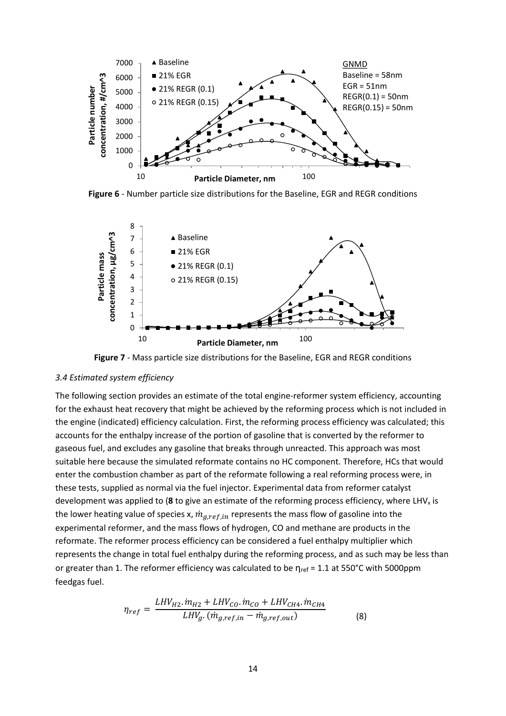

<span id="page-14-0"></span>**Figure 6** - Number particle size distributions for the Baseline, EGR and REGR conditions



**Figure 7** - Mass particle size distributions for the Baseline, EGR and REGR conditions

#### <span id="page-14-1"></span>*3.4 Estimated system efficiency*

The following section provides an estimate of the total engine-reformer system efficiency, accounting for the exhaust heat recovery that might be achieved by the reforming process which is not included in the engine (indicated) efficiency calculation. First, the reforming process efficiency was calculated; this accounts for the enthalpy increase of the portion of gasoline that is converted by the reformer to gaseous fuel, and excludes any gasoline that breaks through unreacted. This approach was most suitable here because the simulated reformate contains no HC component. Therefore, HCs that would enter the combustion chamber as part of the reformate following a real reforming process were, in these tests, supplied as normal via the fuel injector. Experimental data from reformer catalyst development was applied t[o \(](#page-14-2)8 to give an estimate of the reforming process efficiency, where LHV<sub>x</sub> is the lower heating value of species x,  $\dot{m}_{q,ref,in}$  represents the mass flow of gasoline into the experimental reformer, and the mass flows of hydrogen, CO and methane are products in the reformate. The reformer process efficiency can be considered a fuel enthalpy multiplier which represents the change in total fuel enthalpy during the reforming process, and as such may be less than or greater than 1. The reformer efficiency was calculated to be  $\eta_{ref} = 1.1$  at 550°C with 5000ppm feedgas fuel.

<span id="page-14-2"></span>
$$
\eta_{ref} = \frac{LHV_{H2} \cdot \dot{m}_{H2} + LHV_{CO} \cdot \dot{m}_{CO} + LHV_{CH4} \cdot \dot{m}_{CH4}}{LHV_{g} \cdot (\dot{m}_{g,ref,in} - \dot{m}_{g,ref,out})}
$$
(8)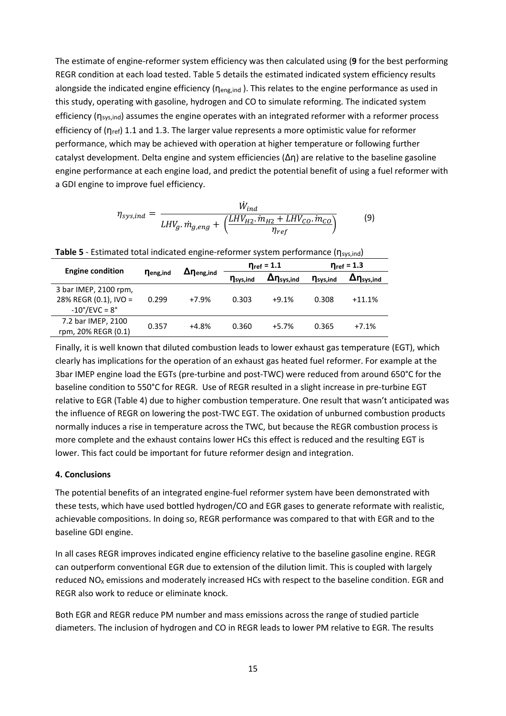The estimate of engine-reformer system efficiency was then calculated usin[g \(](#page-15-0)**9** for the best performing REGR condition at each load tested. [Table 5](#page-15-1) details the estimated indicated system efficiency results alongside the indicated engine efficiency (ηeng,ind ). This relates to the engine performance as used in this study, operating with gasoline, hydrogen and CO to simulate reforming. The indicated system efficiency (η<sub>sys,ind</sub>) assumes the engine operates with an integrated reformer with a reformer process efficiency of  $(\eta_{ref})$  1.1 and 1.3. The larger value represents a more optimistic value for reformer performance, which may be achieved with operation at higher temperature or following further catalyst development. Delta engine and system efficiencies (Δη) are relative to the baseline gasoline engine performance at each engine load, and predict the potential benefit of using a fuel reformer with a GDI engine to improve fuel efficiency.

<span id="page-15-0"></span>
$$
\eta_{sys,ind} = \frac{\dot{W}_{ind}}{LHV_g.\dot{m}_{g,eng} + \left(\frac{LHV_{H2}.\dot{m}_{H2} + LHV_{CO}.\dot{m}_{CO}}{\eta_{ref}}\right)}
$$
(9)

| <b>Engine condition</b>       |                  |                       |                      | $\eta_{ref} = 1.1$ | $n_{ref} = 1.3$  |                       |  |  |  |
|-------------------------------|------------------|-----------------------|----------------------|--------------------|------------------|-----------------------|--|--|--|
|                               | $\eta_{eng,ind}$ | Δη <sub>eng,ind</sub> | n <sub>sys.ind</sub> | $\Delta$ nsys, ind | $\eta_{sys,ind}$ | Δη <sub>sys,ind</sub> |  |  |  |
| 3 bar IMEP, 2100 rpm,         |                  |                       |                      |                    |                  |                       |  |  |  |
| 28% REGR (0.1), IVO =         | 0.299            | $+7.9%$               | 0.303                | $+9.1%$            | 0.308            | $+11.1%$              |  |  |  |
| $-10^{\circ}/EVC = 8^{\circ}$ |                  |                       |                      |                    |                  |                       |  |  |  |
| 7.2 bar IMEP, 2100            | 0.357            | $+4.8%$               | 0.360                | $+5.7%$            | 0.365            | $+7.1%$               |  |  |  |
| rpm, 20% REGR (0.1)           |                  |                       |                      |                    |                  |                       |  |  |  |

<span id="page-15-1"></span>**Table 5** - Estimated total indicated engine-reformer system performance (nsys.ind)

Finally, it is well known that diluted combustion leads to lower exhaust gas temperature (EGT), which clearly has implications for the operation of an exhaust gas heated fuel reformer. For example at the 3bar IMEP engine load the EGTs (pre-turbine and post-TWC) were reduced from around 650°C for the baseline condition to 550°C for REGR. Use of REGR resulted in a slight increase in pre-turbine EGT relative to EGR [\(Table 4\)](#page-9-1) due to higher combustion temperature. One result that wasn't anticipated was the influence of REGR on lowering the post-TWC EGT. The oxidation of unburned combustion products normally induces a rise in temperature across the TWC, but because the REGR combustion process is more complete and the exhaust contains lower HCs this effect is reduced and the resulting EGT is lower. This fact could be important for future reformer design and integration.

# **4. Conclusions**

The potential benefits of an integrated engine-fuel reformer system have been demonstrated with these tests, which have used bottled hydrogen/CO and EGR gases to generate reformate with realistic, achievable compositions. In doing so, REGR performance was compared to that with EGR and to the baseline GDI engine.

In all cases REGR improves indicated engine efficiency relative to the baseline gasoline engine. REGR can outperform conventional EGR due to extension of the dilution limit. This is coupled with largely reduced  $NO<sub>x</sub>$  emissions and moderately increased HCs with respect to the baseline condition. EGR and REGR also work to reduce or eliminate knock.

Both EGR and REGR reduce PM number and mass emissions across the range of studied particle diameters. The inclusion of hydrogen and CO in REGR leads to lower PM relative to EGR. The results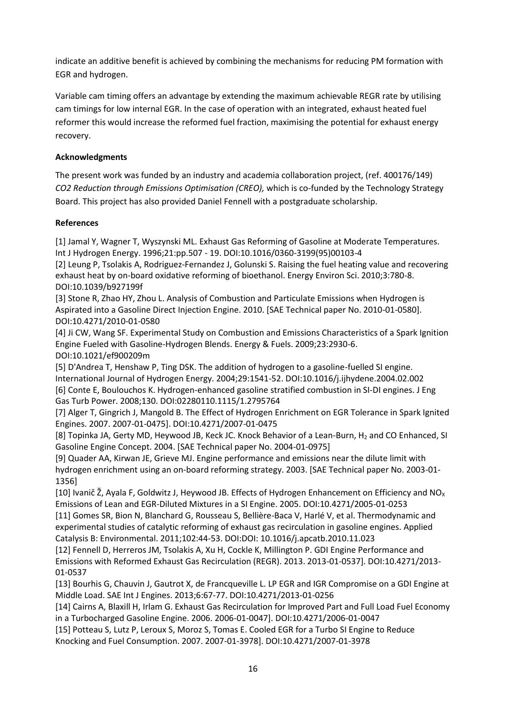indicate an additive benefit is achieved by combining the mechanisms for reducing PM formation with EGR and hydrogen.

Variable cam timing offers an advantage by extending the maximum achievable REGR rate by utilising cam timings for low internal EGR. In the case of operation with an integrated, exhaust heated fuel reformer this would increase the reformed fuel fraction, maximising the potential for exhaust energy recovery.

# **Acknowledgments**

The present work was funded by an industry and academia collaboration project, (ref. 400176/149) *CO2 Reduction through Emissions Optimisation (CREO),* which is co-funded by the Technology Strategy Board. This project has also provided Daniel Fennell with a postgraduate scholarship.

# **References**

<span id="page-16-0"></span>[1] Jamal Y, Wagner T, Wyszynski ML. Exhaust Gas Reforming of Gasoline at Moderate Temperatures. Int J Hydrogen Energy. 1996;21:pp.507 - 19. DOI:10.1016/0360-3199(95)00103-4

<span id="page-16-1"></span>[2] Leung P, Tsolakis A, Rodriguez-Fernandez J, Golunski S. Raising the fuel heating value and recovering exhaust heat by on-board oxidative reforming of bioethanol. Energy Environ Sci. 2010;3:780-8. DOI:10.1039/b927199f

<span id="page-16-2"></span>[3] Stone R, Zhao HY, Zhou L. Analysis of Combustion and Particulate Emissions when Hydrogen is Aspirated into a Gasoline Direct Injection Engine. 2010. [SAE Technical paper No. 2010-01-0580]. DOI:10.4271/2010-01-0580

<span id="page-16-3"></span>[4] Ji CW, Wang SF. Experimental Study on Combustion and Emissions Characteristics of a Spark Ignition Engine Fueled with Gasoline-Hydrogen Blends. Energy & Fuels. 2009;23:2930-6. DOI:10.1021/ef900209m

<span id="page-16-4"></span>[5] D'Andrea T, Henshaw P, Ting DSK. The addition of hydrogen to a gasoline-fuelled SI engine. International Journal of Hydrogen Energy. 2004;29:1541-52. DOI:10.1016/j.ijhydene.2004.02.002 [6] Conte E, Boulouchos K. Hydrogen-enhanced gasoline stratified combustion in SI-DI engines. J Eng Gas Turb Power. 2008;130. DOI:02280110.1115/1.2795764

<span id="page-16-6"></span><span id="page-16-5"></span>[7] Alger T, Gingrich J, Mangold B. The Effect of Hydrogen Enrichment on EGR Tolerance in Spark Ignited Engines. 2007. 2007-01-0475]. DOI:10.4271/2007-01-0475

<span id="page-16-7"></span>[8] Topinka JA, Gerty MD, Heywood JB, Keck JC. Knock Behavior of a Lean-Burn, H<sub>2</sub> and CO Enhanced, SI Gasoline Engine Concept. 2004. [SAE Technical paper No. 2004-01-0975]

<span id="page-16-13"></span>[9] Quader AA, Kirwan JE, Grieve MJ. Engine performance and emissions near the dilute limit with hydrogen enrichment using an on-board reforming strategy. 2003. [SAE Technical paper No. 2003-01- 1356]

[10] Ivanič Ž, Ayala F, Goldwitz J, Heywood JB. Effects of Hydrogen Enhancement on Efficiency and NO<sub>x</sub> Emissions of Lean and EGR-Diluted Mixtures in a SI Engine. 2005. DOI:10.4271/2005-01-0253

<span id="page-16-8"></span>[11] Gomes SR, Bion N, Blanchard G, Rousseau S, Bellière-Baca V, Harlé V, et al. Thermodynamic and experimental studies of catalytic reforming of exhaust gas recirculation in gasoline engines. Applied Catalysis B: Environmental. 2011;102:44-53. DOI:DOI: 10.1016/j.apcatb.2010.11.023

<span id="page-16-9"></span>[12] Fennell D, Herreros JM, Tsolakis A, Xu H, Cockle K, Millington P. GDI Engine Performance and Emissions with Reformed Exhaust Gas Recirculation (REGR). 2013. 2013-01-0537]. DOI:10.4271/2013- 01-0537

<span id="page-16-10"></span>[13] Bourhis G, Chauvin J, Gautrot X, de Francqueville L. LP EGR and IGR Compromise on a GDI Engine at Middle Load. SAE Int J Engines. 2013;6:67-77. DOI:10.4271/2013-01-0256

<span id="page-16-11"></span>[14] Cairns A, Blaxill H, Irlam G. Exhaust Gas Recirculation for Improved Part and Full Load Fuel Economy in a Turbocharged Gasoline Engine. 2006. 2006-01-0047]. DOI:10.4271/2006-01-0047

<span id="page-16-12"></span>[15] Potteau S, Lutz P, Leroux S, Moroz S, Tomas E. Cooled EGR for a Turbo SI Engine to Reduce Knocking and Fuel Consumption. 2007. 2007-01-3978]. DOI:10.4271/2007-01-3978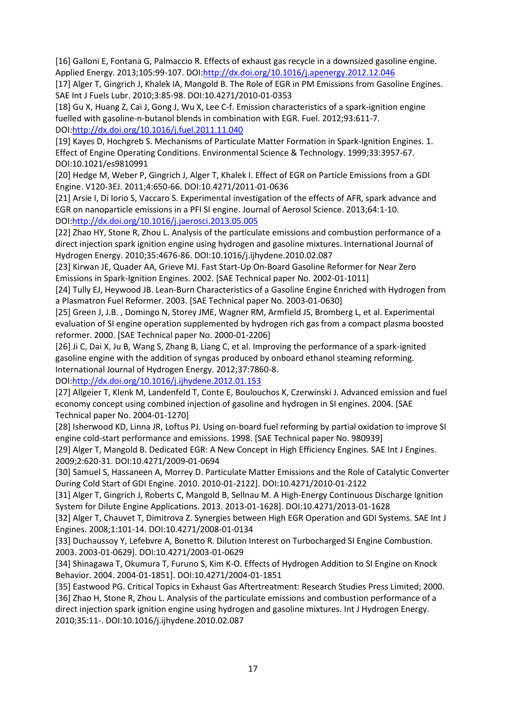<span id="page-17-0"></span>[16] Galloni E, Fontana G, Palmaccio R. Effects of exhaust gas recycle in a downsized gasoline engine. Applied Energy. 2013;105:99-107. DOI[:http://dx.doi.org/10.1016/j.apenergy.2012.12.046](http://dx.doi.org/10.1016/j.apenergy.2012.12.046)

<span id="page-17-1"></span>[17] Alger T, Gingrich J, Khalek IA, Mangold B. The Role of EGR in PM Emissions from Gasoline Engines. SAE Int J Fuels Lubr. 2010;3:85-98. DOI:10.4271/2010-01-0353

[18] Gu X, Huang Z, Cai J, Gong J, Wu X, Lee C-f. Emission characteristics of a spark-ignition engine fuelled with gasoline-n-butanol blends in combination with EGR. Fuel. 2012;93:611-7. DOI[:http://dx.doi.org/10.1016/j.fuel.2011.11.040](http://dx.doi.org/10.1016/j.fuel.2011.11.040)

<span id="page-17-16"></span>[19] Kayes D, Hochgreb S. Mechanisms of Particulate Matter Formation in Spark-Ignition Engines. 1. Effect of Engine Operating Conditions. Environmental Science & Technology. 1999;33:3957-67. DOI:10.1021/es9810991

<span id="page-17-2"></span>[20] Hedge M, Weber P, Gingrich J, Alger T, Khalek I. Effect of EGR on Particle Emissions from a GDI Engine. V120-3EJ. 2011;4:650-66. DOI:10.4271/2011-01-0636

<span id="page-17-3"></span>[21] Arsie I, Di Iorio S, Vaccaro S. Experimental investigation of the effects of AFR, spark advance and EGR on nanoparticle emissions in a PFI SI engine. Journal of Aerosol Science. 2013;64:1-10. DOI[:http://dx.doi.org/10.1016/j.jaerosci.2013.05.005](http://dx.doi.org/10.1016/j.jaerosci.2013.05.005)

<span id="page-17-4"></span>[22] Zhao HY, Stone R, Zhou L. Analysis of the particulate emissions and combustion performance of a direct injection spark ignition engine using hydrogen and gasoline mixtures. International Journal of Hydrogen Energy. 2010;35:4676-86. DOI:10.1016/j.ijhydene.2010.02.087

<span id="page-17-5"></span>[23] Kirwan JE, Quader AA, Grieve MJ. Fast Start-Up On-Board Gasoline Reformer for Near Zero Emissions in Spark-Ignition Engines. 2002. [SAE Technical paper No. 2002-01-1011]

[24] Tully EJ, Heywood JB. Lean-Burn Characteristics of a Gasoline Engine Enriched with Hydrogen from a Plasmatron Fuel Reformer. 2003. [SAE Technical paper No. 2003-01-0630]

[25] Green J, J.B. , Domingo N, Storey JME, Wagner RM, Armfield JS, Bromberg L, et al. Experimental evaluation of SI engine operation supplemented by hydrogen rich gas from a compact plasma boosted reformer. 2000. [SAE Technical paper No. 2000-01-2206]

[26] Ji C, Dai X, Ju B, Wang S, Zhang B, Liang C, et al. Improving the performance of a spark-ignited gasoline engine with the addition of syngas produced by onboard ethanol steaming reforming. International Journal of Hydrogen Energy. 2012;37:7860-8.

DOI[:http://dx.doi.org/10.1016/j.ijhydene.2012.01.153](http://dx.doi.org/10.1016/j.ijhydene.2012.01.153)

<span id="page-17-6"></span>[27] Allgeier T, Klenk M, Landenfeld T, Conte E, Boulouchos K, Czerwinski J. Advanced emission and fuel economy concept using combined injection of gasoline and hydrogen in SI engines. 2004. [SAE Technical paper No. 2004-01-1270]

<span id="page-17-7"></span>[28] Isherwood KD, Linna JR, Loftus PJ. Using on-board fuel reforming by partial oxidation to improve SI engine cold-start performance and emissions. 1998. [SAE Technical paper No. 980939]

<span id="page-17-8"></span>[29] Alger T, Mangold B. Dedicated EGR: A New Concept in High Efficiency Engines. SAE Int J Engines. 2009;2:620-31. DOI:10.4271/2009-01-0694

<span id="page-17-9"></span>[30] Samuel S, Hassaneen A, Morrey D. Particulate Matter Emissions and the Role of Catalytic Converter During Cold Start of GDI Engine. 2010. 2010-01-2122]. DOI:10.4271/2010-01-2122

<span id="page-17-10"></span>[31] Alger T, Gingrich J, Roberts C, Mangold B, Sellnau M. A High-Energy Continuous Discharge Ignition System for Dilute Engine Applications. 2013. 2013-01-1628]. DOI:10.4271/2013-01-1628

<span id="page-17-11"></span>[32] Alger T, Chauvet T, Dimitrova Z. Synergies between High EGR Operation and GDI Systems. SAE Int J Engines. 2008;1:101-14. DOI:10.4271/2008-01-0134

<span id="page-17-12"></span>[33] Duchaussoy Y, Lefebvre A, Bonetto R. Dilution Interest on Turbocharged SI Engine Combustion. 2003. 2003-01-0629]. DOI:10.4271/2003-01-0629

<span id="page-17-13"></span>[34] Shinagawa T, Okumura T, Furuno S, Kim K-O. Effects of Hydrogen Addition to SI Engine on Knock Behavior. 2004. 2004-01-1851]. DOI:10.4271/2004-01-1851

<span id="page-17-15"></span><span id="page-17-14"></span>[35] Eastwood PG. Critical Topics in Exhaust Gas Aftertreatment: Research Studies Press Limited; 2000. [36] Zhao H, Stone R, Zhou L. Analysis of the particulate emissions and combustion performance of a direct injection spark ignition engine using hydrogen and gasoline mixtures. Int J Hydrogen Energy. 2010;35:11-. DOI:10.1016/j.ijhydene.2010.02.087